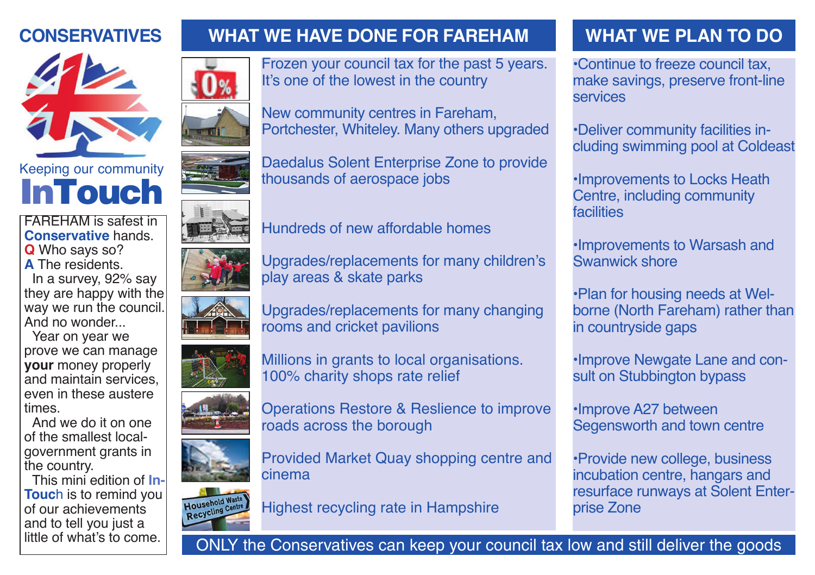## **CONSERVATIVES**



**InTouch** 

FAREHAM is safest in **Conservative** hands. **Q** Who says so? **A** The residents. In a survey, 92% say they are happy with the way we run the council. And no wonder...

Year on year we prove we can manage **your** money properly and maintain services, even in these austere times.

And we do it on one of the smallest localgovernment grants in the country.

This mini edition of **In-Touc**h is to remind you of our achievements and to tell you just a little of what's to come.













Upgrades/replacements for many changing

Millions in grants to local organisations.

Operations Restore & Reslience to improve

Provided Market Quay shopping centre and

Frozen your council tax for the past 5 years.

Portchester, Whiteley. Many others upgraded

Daedalus Solent Enterprise Zone to provide

It's one of the lowest in the country

New community centres in Fareham,

thousands of aerospace jobs

rooms and cricket pavilions

roads across the borough

100% charity shops rate relief











Highest recycling rate in Hampshire

# **WHAT WE HAVE DONE FOR FAREHAM WHAT WE PLAN TO DO**

•Continue to freeze council tax, make savings, preserve front-line services

•Deliver community facilities including swimming pool at Coldeast

•Improvements to Locks Heath Centre, including community facilities

•Improvements to Warsash and Swanwick shore

•Plan for housing needs at Welborne (North Fareham) rather than in countryside gaps

•Improve Newgate Lane and consult on Stubbington bypass

•Improve A27 between Segensworth and town centre

•Provide new college, business incubation centre, hangars and resurface runways at Solent Enterprise Zone



cinema

ONLY the Conservatives can keep your council tax low and still deliver the goods